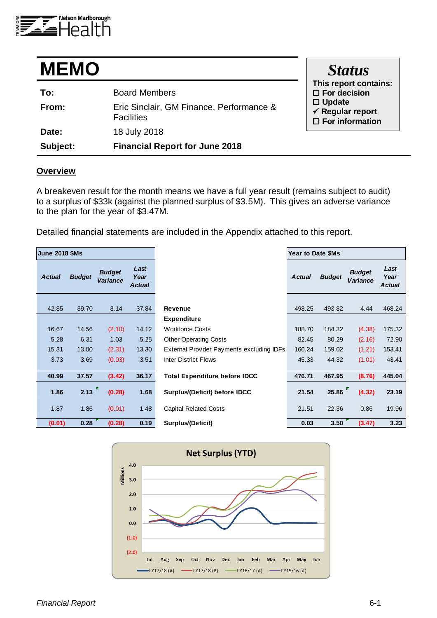

| <b>MEMO</b> |                                                               | <b>Status</b>                                                             |
|-------------|---------------------------------------------------------------|---------------------------------------------------------------------------|
| To:         | <b>Board Members</b>                                          | This report contains:<br>$\Box$ For decision                              |
| From:       | Eric Sinclair, GM Finance, Performance &<br><b>Facilities</b> | $\Box$ Update<br>$\checkmark$ Regular report<br>$\square$ For information |
| Date:       | 18 July 2018                                                  |                                                                           |
| Subject:    | <b>Financial Report for June 2018</b>                         |                                                                           |

#### **Overview**

A breakeven result for the month means we have a full year result (remains subject to audit) to a surplus of \$33k (against the planned surplus of \$3.5M). This gives an adverse variance to the plan for the year of \$3.47M.

Detailed financial statements are included in the Appendix attached to this report.

| <b>June 2018 \$Ms</b> |               |                           |                               |                                 |
|-----------------------|---------------|---------------------------|-------------------------------|---------------------------------|
| <b>Actual</b>         | <b>Budget</b> | <b>Budget</b><br>Variance | Last<br>Year<br><b>Actual</b> |                                 |
| 42.85                 | 39.70         | 3.14                      | 37.84                         | Revenue                         |
|                       |               |                           |                               | Expenditure                     |
| 16.67                 | 14.56         | (2.10)                    | 14.12                         | <b>Workforce Costs</b>          |
| 5.28                  | 6.31          | 1.03                      | 5.25                          | <b>Other Operating Costs</b>    |
| 15.31                 | 13.00         | (2.31)                    | 13.30                         | <b>External Provider Paymer</b> |
| 3.73                  | 3.69          | (0.03)                    | 3.51                          | <b>Inter District Flows</b>     |
| 40.99                 | 37.57         | (3.42)                    | 36.17                         | <b>Total Expenditure befo</b>   |
| 1.86                  | 2.13          | (0.28)                    | 1.68                          | Surplus/(Deficit) before        |
| 1.87                  | 1.86          | (0.01)                    | 1.48                          | <b>Capital Related Costs</b>    |
| (0.01)                | 0.28          | (0.28)                    | 0.19                          | Surplus/(Deficit)               |



**Year to Date \$Ms** 

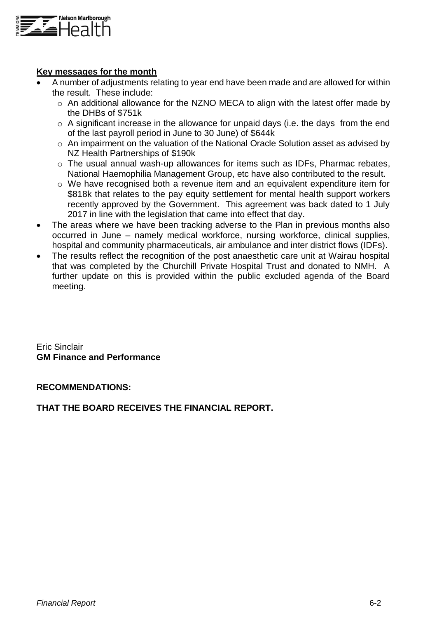

## **Key messages for the month**

- A number of adjustments relating to year end have been made and are allowed for within the result. These include:
	- o An additional allowance for the NZNO MECA to align with the latest offer made by the DHBs of \$751k
	- $\circ$  A significant increase in the allowance for unpaid days (i.e. the days from the end of the last payroll period in June to 30 June) of \$644k
	- o An impairment on the valuation of the National Oracle Solution asset as advised by NZ Health Partnerships of \$190k
	- o The usual annual wash-up allowances for items such as IDFs, Pharmac rebates, National Haemophilia Management Group, etc have also contributed to the result.
	- o We have recognised both a revenue item and an equivalent expenditure item for \$818k that relates to the pay equity settlement for mental health support workers recently approved by the Government. This agreement was back dated to 1 July 2017 in line with the legislation that came into effect that day.
- The areas where we have been tracking adverse to the Plan in previous months also occurred in June – namely medical workforce, nursing workforce, clinical supplies, hospital and community pharmaceuticals, air ambulance and inter district flows (IDFs).
- The results reflect the recognition of the post anaesthetic care unit at Wairau hospital that was completed by the Churchill Private Hospital Trust and donated to NMH. A further update on this is provided within the public excluded agenda of the Board meeting.

Eric Sinclair **GM Finance and Performance**

**RECOMMENDATIONS:**

## **THAT THE BOARD RECEIVES THE FINANCIAL REPORT.**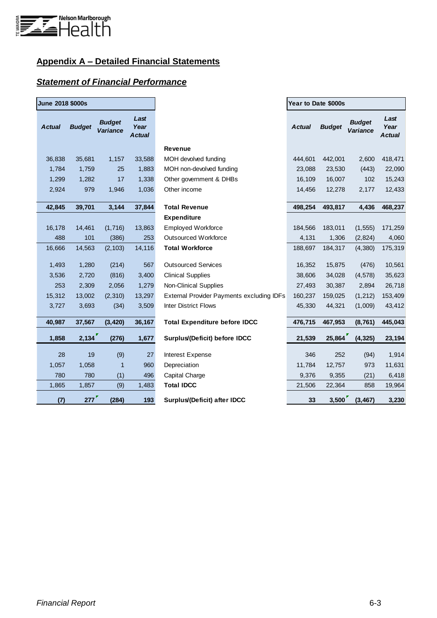

# **Appendix A – Detailed Financial Statements**

## *Statement of Financial Performance*

| <b>June 2018 \$000s</b> |               |                                  |                               |                                                  | Year to Date \$000s |               |                           |                               |  |  |
|-------------------------|---------------|----------------------------------|-------------------------------|--------------------------------------------------|---------------------|---------------|---------------------------|-------------------------------|--|--|
| <b>Actual</b>           | <b>Budget</b> | <b>Budget</b><br><b>Variance</b> | Last<br>Year<br><b>Actual</b> |                                                  | <b>Actual</b>       | <b>Budget</b> | <b>Budget</b><br>Variance | Last<br>Year<br><b>Actual</b> |  |  |
|                         |               |                                  |                               | Revenue                                          |                     |               |                           |                               |  |  |
| 36,838                  | 35,681        | 1,157                            | 33,588                        | MOH devolved funding                             | 444,601             | 442,001       | 2,600                     | 418,471                       |  |  |
| 1,784                   | 1,759         | 25                               | 1,883                         | MOH non-devolved funding                         | 23,088              | 23,530        | (443)                     | 22,090                        |  |  |
| 1,299                   | 1,282         | 17                               | 1,338                         | Other government & DHBs                          | 16,109              | 16,007        | 102                       | 15,243                        |  |  |
| 2,924                   | 979           | 1,946                            | 1,036                         | Other income                                     | 14,456              | 12,278        | 2,177                     | 12,433                        |  |  |
| 42,845                  | 39,701        | 3,144                            | 37,844                        | <b>Total Revenue</b>                             | 498,254             | 493,817       | 4,436                     | 468,237                       |  |  |
|                         |               |                                  |                               | <b>Expenditure</b>                               |                     |               |                           |                               |  |  |
| 16,178                  | 14,461        | (1,716)                          | 13,863                        | <b>Employed Workforce</b>                        | 184,566             | 183,011       | (1, 555)                  | 171,259                       |  |  |
| 488                     | 101           | (386)                            | 253                           | <b>Outsourced Workforce</b>                      | 4,131               | 1,306         | (2,824)                   | 4,060                         |  |  |
| 16,666                  | 14,563        | (2, 103)                         | 14,116                        | <b>Total Workforce</b>                           | 188,697             | 184,317       | (4,380)                   | 175,319                       |  |  |
| 1,493                   | 1,280         | (214)                            | 567                           | <b>Outsourced Services</b>                       | 16,352              | 15,875        | (476)                     | 10,561                        |  |  |
| 3,536                   | 2,720         | (816)                            | 3,400                         | <b>Clinical Supplies</b>                         | 38,606              | 34,028        | (4, 578)                  | 35,623                        |  |  |
| 253                     | 2,309         | 2,056                            | 1,279                         | <b>Non-Clinical Supplies</b>                     | 27,493              | 30,387        | 2,894                     | 26,718                        |  |  |
| 15,312                  | 13,002        | (2,310)                          | 13,297                        | <b>External Provider Payments excluding IDFs</b> | 160,237             | 159,025       | (1,212)                   | 153,409                       |  |  |
| 3,727                   | 3,693         | (34)                             | 3,509                         | <b>Inter District Flows</b>                      | 45,330              | 44,321        | (1,009)                   | 43,412                        |  |  |
| 40,987                  | 37,567        | (3, 420)                         | 36,167                        | <b>Total Expenditure before IDCC</b>             | 476,715             | 467,953       | (8,761)                   | 445,043                       |  |  |
| 1,858                   | 2,134         | (276)                            | 1,677                         | Surplus/(Deficit) before IDCC                    | 21,539              | 25,864        | (4, 325)                  | 23,194                        |  |  |
| 28                      | 19            | (9)                              | 27                            | Interest Expense                                 | 346                 | 252           | (94)                      | 1,914                         |  |  |
| 1,057                   | 1,058         | $\mathbf{1}$                     | 960                           | Depreciation                                     | 11,784              | 12,757        | 973                       | 11,631                        |  |  |
| 780                     | 780           | (1)                              | 496                           | Capital Charge                                   | 9,376               | 9,355         | (21)                      | 6,418                         |  |  |
| 1,865                   | 1,857         | (9)                              | 1,483                         | <b>Total IDCC</b>                                | 21,506              | 22,364        | 858                       | 19,964                        |  |  |
| (7)                     | 277           | (284)                            | 193                           | Surplus/(Deficit) after IDCC                     | 33                  | 3,500         | (3, 467)                  | 3,230                         |  |  |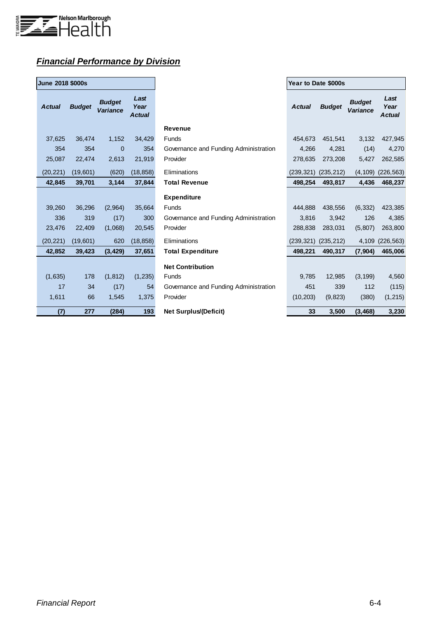

# *Financial Performance by Division*

| <b>June 2018 \$000s</b> |               |                           |                               |  |  |  |  |  |  |  |
|-------------------------|---------------|---------------------------|-------------------------------|--|--|--|--|--|--|--|
| <b>Actual</b>           | <b>Budget</b> | <b>Budget</b><br>Variance | Last<br>Year<br><b>Actual</b> |  |  |  |  |  |  |  |
| 37,625                  | 36,474        | 1,152                     | 34,429                        |  |  |  |  |  |  |  |
| - 354                   | 354           | $\overline{0}$            | 354                           |  |  |  |  |  |  |  |
| 25,087                  | 22,474        | 2,613                     | 21,919                        |  |  |  |  |  |  |  |
| (20, 221)               | (19, 601)     | (620)                     | (18, 858)                     |  |  |  |  |  |  |  |
| 42,845                  | 39,701        | 3,144                     | 37,844                        |  |  |  |  |  |  |  |
|                         |               |                           |                               |  |  |  |  |  |  |  |
| 39,260                  | 36,296        | (2, 964)                  | 35,664                        |  |  |  |  |  |  |  |
| 336                     | 319           | (17)                      | 300                           |  |  |  |  |  |  |  |
| 23,476                  | 22,409        | (1,068)                   | 20,545                        |  |  |  |  |  |  |  |
| (20, 221)               | (19, 601)     | 620                       | (18, 858)                     |  |  |  |  |  |  |  |
| 42,852                  | 39,423        | (3, 429)                  | 37,651                        |  |  |  |  |  |  |  |
|                         |               |                           |                               |  |  |  |  |  |  |  |
| (1,635)                 | 178           | (1, 812)                  | (1, 235)                      |  |  |  |  |  |  |  |
| $\overline{17}$         | 34            | (17)                      | - 54                          |  |  |  |  |  |  |  |
| 1,611                   | 66            | 1,545                     | 1,375                         |  |  |  |  |  |  |  |
| (7)                     | 277           | (284)                     | 193                           |  |  |  |  |  |  |  |

| <b>June 2018 \$000s</b> |               |                           |                               |                                       | Year to Date \$000s |               |                                  |                               |
|-------------------------|---------------|---------------------------|-------------------------------|---------------------------------------|---------------------|---------------|----------------------------------|-------------------------------|
| <b>Actual</b>           | <b>Budget</b> | <b>Budget</b><br>Variance | Last<br>Year<br><b>Actual</b> |                                       | <b>Actual</b>       | <b>Budget</b> | <b>Budget</b><br><b>Variance</b> | Last<br>Year<br><b>Actual</b> |
|                         |               |                           |                               | <b>Revenue</b>                        |                     |               |                                  |                               |
| 37,625                  | 36,474        | 1,152                     | 34,429                        | <b>Funds</b>                          | 454,673             | 451,541       | 3,132                            | 427,945                       |
| 354                     | 354           | $\mathbf 0$               | 354                           | Governance and Funding Administration | 4,266               | 4,281         | (14)                             | 4,270                         |
| 25,087                  | 22,474        | 2,613                     | 21,919                        | Provider                              | 278,635             | 273,208       | 5,427                            | 262,585                       |
| (20, 221)               | (19,601)      | (620)                     | (18, 858)                     | Eliminations                          | (239,321)           | (235, 212)    | (4, 109)                         | (226, 563)                    |
| 42,845                  | 39,701        | 3,144                     | 37,844                        | <b>Total Revenue</b>                  | 498,254             | 493,817       | 4,436                            | 468,237                       |
|                         |               |                           |                               | <b>Expenditure</b>                    |                     |               |                                  |                               |
| 39,260                  | 36,296        | (2,964)                   | 35,664                        | <b>Funds</b>                          | 444.888             | 438,556       | (6, 332)                         | 423,385                       |
| 336                     | 319           | (17)                      | 300                           | Governance and Funding Administration | 3,816               | 3,942         | 126                              | 4,385                         |
| 23,476                  | 22,409        | (1,068)                   | 20,545                        | Provider                              | 288,838             | 283,031       | (5,807)                          | 263,800                       |
| (20, 221)               | (19,601)      | 620                       | (18, 858)                     | Eliminations                          | (239,321)           | (235, 212)    | 4,109                            | (226, 563)                    |
| 42,852                  | 39,423        | (3, 429)                  | 37,651                        | <b>Total Expenditure</b>              | 498,221             | 490,317       | (7, 904)                         | 465,006                       |
|                         |               |                           |                               | <b>Net Contribution</b>               |                     |               |                                  |                               |
| (1,635)                 | 178           | (1, 812)                  | (1, 235)                      | Funds                                 | 9,785               | 12,985        | (3, 199)                         | 4,560                         |
| 17                      | 34            | (17)                      | 54                            | Governance and Funding Administration | 451                 | 339           | 112                              | (115)                         |
| 1,611                   | 66            | 1,545                     | 1,375                         | Provider                              | (10, 203)           | (9,823)       | (380)                            | (1, 215)                      |
| (7)                     | 277           | (284)                     | 193                           | <b>Net Surplus/(Deficit)</b>          | 33                  | 3,500         | (3, 468)                         | 3,230                         |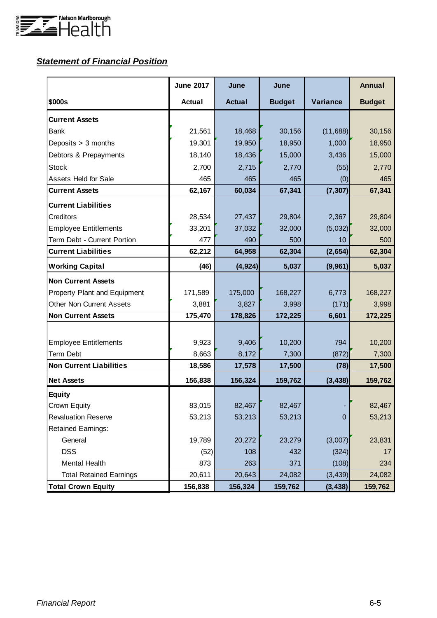

# *Statement of Financial Position*

|                                 | <b>June 2017</b> | June          | June          |                | <b>Annual</b> |
|---------------------------------|------------------|---------------|---------------|----------------|---------------|
| \$000s                          | <b>Actual</b>    | <b>Actual</b> | <b>Budget</b> | Variance       | <b>Budget</b> |
| <b>Current Assets</b>           |                  |               |               |                |               |
| Bank                            | 21,561           | 18,468        | 30,156        | (11,688)       | 30,156        |
| Deposits > 3 months             | 19,301           | 19,950        | 18,950        | 1,000          | 18,950        |
| Debtors & Prepayments           | 18,140           | 18,436        | 15,000        | 3,436          | 15,000        |
| <b>Stock</b>                    | 2,700            | 2,715         | 2,770         | (55)           | 2,770         |
| <b>Assets Held for Sale</b>     | 465              | 465           | 465           | (0)            | 465           |
| <b>Current Assets</b>           | 62,167           | 60,034        | 67,341        | (7, 307)       | 67,341        |
| <b>Current Liabilities</b>      |                  |               |               |                |               |
| Creditors                       | 28,534           | 27,437        | 29,804        | 2,367          | 29,804        |
| <b>Employee Entitlements</b>    | 33,201           | 37,032        | 32,000        | (5,032)        | 32,000        |
| Term Debt - Current Portion     | 477              | 490           | 500           | 10             | 500           |
| <b>Current Liabilities</b>      | 62,212           | 64,958        | 62,304        | (2,654)        | 62,304        |
| <b>Working Capital</b>          | (46)             | (4, 924)      | 5,037         | (9,961)        | 5,037         |
| <b>Non Current Assets</b>       |                  |               |               |                |               |
| Property Plant and Equipment    | 171,589          | 175,000       | 168,227       | 6,773          | 168,227       |
| <b>Other Non Current Assets</b> | 3,881            | 3,827         | 3,998         | (171)          | 3,998         |
| <b>Non Current Assets</b>       | 175,470          | 178,826       | 172,225       | 6,601          | 172,225       |
|                                 |                  |               |               |                |               |
| <b>Employee Entitlements</b>    | 9,923            | 9,406         | 10,200        | 794            | 10,200        |
| <b>Term Debt</b>                | 8,663            | 8,172         | 7,300         | (872)          | 7,300         |
| <b>Non Current Liabilities</b>  | 18,586           | 17,578        | 17,500        | (78)           | 17,500        |
| <b>Net Assets</b>               | 156,838          | 156,324       | 159,762       | (3, 438)       | 159,762       |
| <b>Equity</b>                   |                  |               |               |                |               |
| Crown Equity                    | 83,015           | 82,467        | 82,467        |                | 82,467        |
| <b>Revaluation Reserve</b>      | 53,213           | 53,213        | 53,213        | $\overline{0}$ | 53,213        |
| <b>Retained Earnings:</b>       |                  |               |               |                |               |
| General                         | 19,789           | 20,272        | 23,279        | (3,007)        | 23,831        |
| <b>DSS</b>                      | (52)             | 108           | 432           | (324)          | 17            |
| Mental Health                   | 873              | 263           | 371           | (108)          | 234           |
| <b>Total Retained Earnings</b>  | 20,611           | 20,643        | 24,082        | (3, 439)       | 24,082        |
| <b>Total Crown Equity</b>       | 156,838          | 156,324       | 159,762       | (3, 438)       | 159,762       |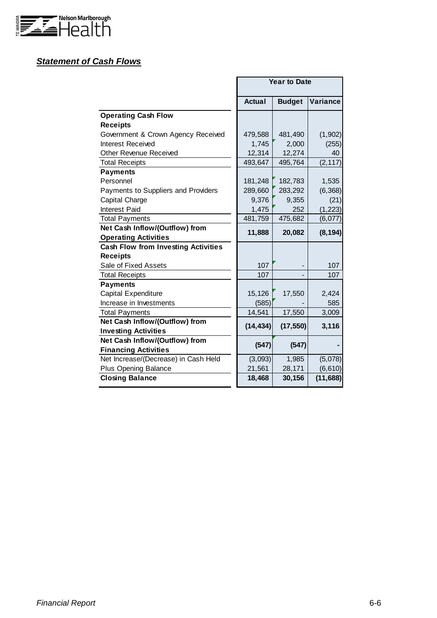

## *Statement of Cash Flows*

|                                            |               | <b>Year to Date</b> |          |
|--------------------------------------------|---------------|---------------------|----------|
|                                            | <b>Actual</b> | <b>Budget</b>       | Variance |
| <b>Operating Cash Flow</b>                 |               |                     |          |
| <b>Receipts</b>                            |               |                     |          |
| Government & Crown Agency Received         | 479,588       | 481,490             | (1,902)  |
| <b>Interest Received</b>                   | 1,745         | 2,000               | (255)    |
| <b>Other Revenue Received</b>              | 12,314        | 12,274              | 40       |
| <b>Total Receipts</b>                      | 493,647       | 495,764             | (2, 117) |
| <b>Payments</b>                            |               |                     |          |
| Personnel                                  | 181,248       | 182,783             | 1,535    |
| Payments to Suppliers and Providers        | 289,660       | 283,292             | (6, 368) |
| Capital Charge                             | 9,376         | 9,355               | (21)     |
| <b>Interest Paid</b>                       | 1,475         | 252                 | (1, 223) |
| <b>Total Payments</b>                      | 481,759       | 475,682             | (6,077)  |
| Net Cash Inflow/(Outflow) from             | 11,888        | 20,082              | (8, 194) |
| <b>Operating Activities</b>                |               |                     |          |
| <b>Cash Flow from Investing Activities</b> |               |                     |          |
| <b>Receipts</b>                            |               |                     |          |
| Sale of Fixed Assets                       | 107           |                     | 107      |
| <b>Total Receipts</b>                      | 107           |                     | 107      |
| <b>Payments</b>                            |               |                     |          |
| Capital Expenditure                        | 15,126        | 17,550              | 2,424    |
| Increase in Investments                    | (585)         |                     | 585      |
| <b>Total Payments</b>                      | 14,541        | 17,550              | 3,009    |
| Net Cash Inflow/(Outflow) from             | (14, 434)     | (17, 550)           | 3,116    |
| <b>Investing Activities</b>                |               |                     |          |
| Net Cash Inflow/(Outflow) from             | (547)         | (547)               |          |
| <b>Financing Activities</b>                |               |                     |          |
| Net Increase/(Decrease) in Cash Held       | (3,093)       | 1,985               | (5,078)  |
| <b>Plus Opening Balance</b>                | 21,561        | 28,171              | (6, 610) |
| <b>Closing Balance</b>                     | 18,468        | 30,156              | (11,688) |